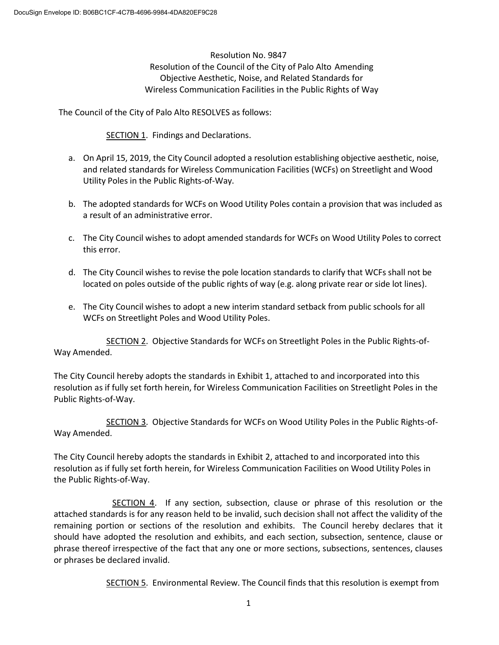Resolution No. 9847 Resolution of the Council of the City of Palo Alto Amending Objective Aesthetic, Noise, and Related Standards for Wireless Communication Facilities in the Public Rights of Way

The Council of the City of Palo Alto RESOLVES as follows:

SECTION 1. Findings and Declarations.

- a. On April 15, 2019, the City Council adopted a resolution establishing objective aesthetic, noise, and related standards for Wireless Communication Facilities (WCFs) on Streetlight and Wood Utility Poles in the Public Rights-of-Way.
- b. The adopted standards for WCFs on Wood Utility Poles contain a provision that was included as a result of an administrative error.
- c. The City Council wishes to adopt amended standards for WCFs on Wood Utility Poles to correct this error.
- d. The City Council wishes to revise the pole location standards to clarify that WCFs shall not be located on poles outside of the public rights of way (e.g. along private rear or side lot lines).
- e. The City Council wishes to adopt a new interim standard setback from public schools for all WCFs on Streetlight Poles and Wood Utility Poles.

SECTION 2. Objective Standards for WCFs on Streetlight Poles in the Public Rights-of-Way Amended.

The City Council hereby adopts the standards in Exhibit 1, attached to and incorporated into this resolution as if fully set forth herein, for Wireless Communication Facilities on Streetlight Poles in the Public Rights-of-Way.

SECTION 3. Objective Standards for WCFs on Wood Utility Poles in the Public Rights-of-Way Amended.

The City Council hereby adopts the standards in Exhibit 2, attached to and incorporated into this resolution as if fully set forth herein, for Wireless Communication Facilities on Wood Utility Poles in the Public Rights-of-Way.

 SECTION 4. If any section, subsection, clause or phrase of this resolution or the attached standards is for any reason held to be invalid, such decision shall not affect the validity of the remaining portion or sections of the resolution and exhibits. The Council hereby declares that it should have adopted the resolution and exhibits, and each section, subsection, sentence, clause or phrase thereof irrespective of the fact that any one or more sections, subsections, sentences, clauses or phrases be declared invalid.

SECTION 5. Environmental Review. The Council finds that this resolution is exempt from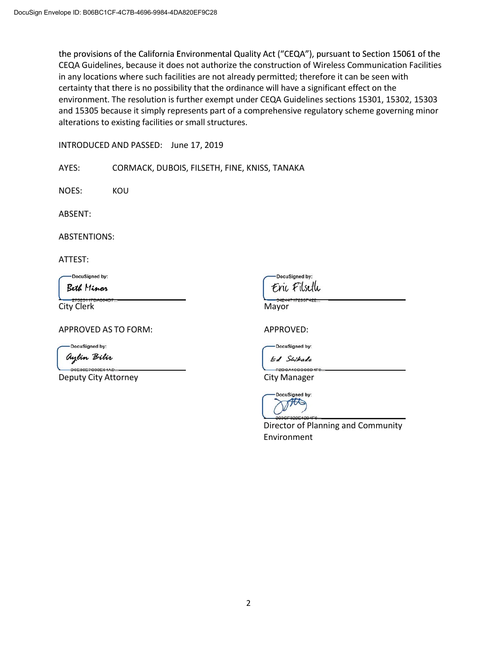the provisions of the California Environmental Quality Act ("CEQA"), pursuant to Section 15061 of the CEQA Guidelines, because it does not authorize the construction of Wireless Communication Facilities in any locations where such facilities are not already permitted; therefore it can be seen with certainty that there is no possibility that the ordinance will have a significant effect on the environment. The resolution is further exempt under CEQA Guidelines sections 15301, 15302, 15303 and 15305 because it simply represents part of a comprehensive regulatory scheme governing minor alterations to existing facilities or small structures.

INTRODUCED AND PASSED: June 17, 2019

AYES: CORMACK, DUBOIS, FILSETH, FINE, KNISS, TANAKA

NOES: KOU

ABSENT:

ABSTENTIONS:

ATTEST:

DocuSigned by:

Beth Minor

City Clerk Mayor

APPROVED AS TO FORM: APPROVED:

**DocuSigned by:** 

aylin Bilir

Deputy City Attorney **City Manager** City Manager

DocuSianed by: Enc Filseth

DocuSigned by:

Ed Swikada

DCA10CCC8D



Director of Planning and Community Environment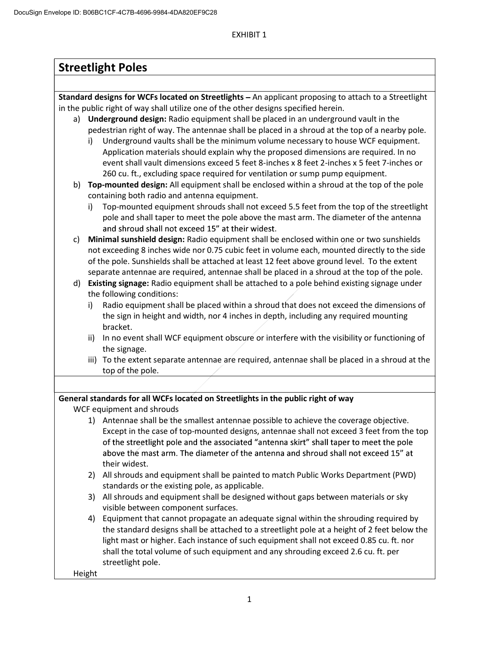EXHIBIT 1

| <b>Streetlight Poles</b>                                                                       |                                                                                                       |  |  |  |  |
|------------------------------------------------------------------------------------------------|-------------------------------------------------------------------------------------------------------|--|--|--|--|
|                                                                                                |                                                                                                       |  |  |  |  |
|                                                                                                | Standard designs for WCFs located on Streetlights - An applicant proposing to attach to a Streetlight |  |  |  |  |
| in the public right of way shall utilize one of the other designs specified herein.            |                                                                                                       |  |  |  |  |
|                                                                                                | Underground design: Radio equipment shall be placed in an underground vault in the<br>a)              |  |  |  |  |
|                                                                                                | pedestrian right of way. The antennae shall be placed in a shroud at the top of a nearby pole.        |  |  |  |  |
|                                                                                                | Underground vaults shall be the minimum volume necessary to house WCF equipment.<br>i)                |  |  |  |  |
|                                                                                                | Application materials should explain why the proposed dimensions are required. In no                  |  |  |  |  |
|                                                                                                | event shall vault dimensions exceed 5 feet 8-inches x 8 feet 2-inches x 5 feet 7-inches or            |  |  |  |  |
|                                                                                                | 260 cu. ft., excluding space required for ventilation or sump pump equipment.                         |  |  |  |  |
|                                                                                                | b) Top-mounted design: All equipment shall be enclosed within a shroud at the top of the pole         |  |  |  |  |
|                                                                                                | containing both radio and antenna equipment.                                                          |  |  |  |  |
|                                                                                                | Top-mounted equipment shrouds shall not exceed 5.5 feet from the top of the streetlight<br>i)         |  |  |  |  |
|                                                                                                | pole and shall taper to meet the pole above the mast arm. The diameter of the antenna                 |  |  |  |  |
|                                                                                                | and shroud shall not exceed 15" at their widest.                                                      |  |  |  |  |
| Minimal sunshield design: Radio equipment shall be enclosed within one or two sunshields<br>c) |                                                                                                       |  |  |  |  |
|                                                                                                | not exceeding 8 inches wide nor 0.75 cubic feet in volume each, mounted directly to the side          |  |  |  |  |
|                                                                                                | of the pole. Sunshields shall be attached at least 12 feet above ground level. To the extent          |  |  |  |  |
|                                                                                                | separate antennae are required, antennae shall be placed in a shroud at the top of the pole.          |  |  |  |  |
| d) Existing signage: Radio equipment shall be attached to a pole behind existing signage under |                                                                                                       |  |  |  |  |
|                                                                                                | the following conditions:                                                                             |  |  |  |  |
|                                                                                                | Radio equipment shall be placed within a shroud that does not exceed the dimensions of<br>i)          |  |  |  |  |
|                                                                                                | the sign in height and width, nor 4 inches in depth, including any required mounting<br>bracket.      |  |  |  |  |
|                                                                                                | In no event shall WCF equipment obscure or interfere with the visibility or functioning of<br>ii)     |  |  |  |  |
|                                                                                                | the signage.                                                                                          |  |  |  |  |
|                                                                                                | iii) To the extent separate antennae are required, antennae shall be placed in a shroud at the        |  |  |  |  |
|                                                                                                | top of the pole.                                                                                      |  |  |  |  |
|                                                                                                |                                                                                                       |  |  |  |  |
|                                                                                                | General standards for all WCFs located on Streetlights in the public right of way                     |  |  |  |  |
| WCF equipment and shrouds                                                                      |                                                                                                       |  |  |  |  |
|                                                                                                | 1) Antennae shall be the smallest antennae possible to achieve the coverage objective.                |  |  |  |  |
|                                                                                                | Except in the case of top-mounted designs, antennae shall not exceed 3 feet from the top              |  |  |  |  |
|                                                                                                | of the streetlight pole and the associated "antenna skirt" shall taper to meet the pole               |  |  |  |  |
|                                                                                                | above the mast arm. The diameter of the antenna and shroud shall not exceed 15" at                    |  |  |  |  |
|                                                                                                | their widest.                                                                                         |  |  |  |  |
|                                                                                                | All shrouds and equipment shall be painted to match Public Works Department (PWD)<br>2)               |  |  |  |  |
|                                                                                                | standards or the existing pole, as applicable.                                                        |  |  |  |  |
|                                                                                                | All shrouds and equipment shall be designed without gaps between materials or sky<br>3)               |  |  |  |  |
|                                                                                                | visible between component surfaces.                                                                   |  |  |  |  |
|                                                                                                | Equipment that cannot propagate an adequate signal within the shrouding required by<br>4)             |  |  |  |  |
|                                                                                                | the standard designs shall be attached to a streetlight pole at a height of 2 feet below the          |  |  |  |  |
|                                                                                                | light mast or higher. Each instance of such equipment shall not exceed 0.85 cu. ft. nor               |  |  |  |  |
|                                                                                                | shall the total volume of such equipment and any shrouding exceed 2.6 cu. ft. per                     |  |  |  |  |
|                                                                                                | streetlight pole.                                                                                     |  |  |  |  |
| Height                                                                                         |                                                                                                       |  |  |  |  |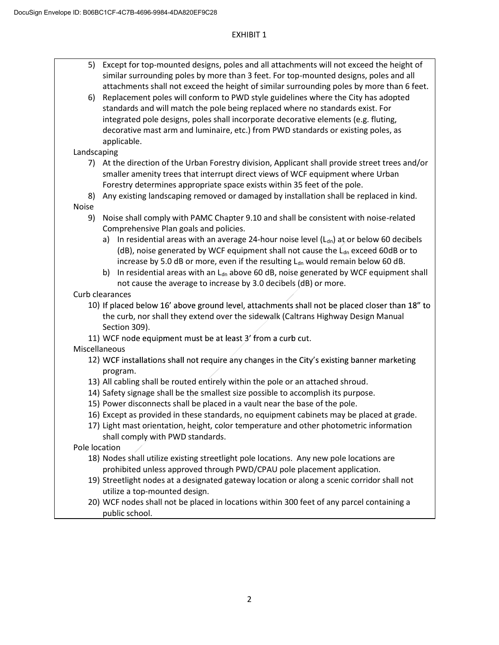## EXHIBIT 1

- 5) Except for top-mounted designs, poles and all attachments will not exceed the height of similar surrounding poles by more than 3 feet. For top-mounted designs, poles and all attachments shall not exceed the height of similar surrounding poles by more than 6 feet.
- 6) Replacement poles will conform to PWD style guidelines where the City has adopted standards and will match the pole being replaced where no standards exist. For integrated pole designs, poles shall incorporate decorative elements (e.g. fluting, decorative mast arm and luminaire, etc.) from PWD standards or existing poles, as applicable.

# Landscaping

- 7) At the direction of the Urban Forestry division, Applicant shall provide street trees and/or smaller amenity trees that interrupt direct views of WCF equipment where Urban Forestry determines appropriate space exists within 35 feet of the pole.
- 8) Any existing landscaping removed or damaged by installation shall be replaced in kind. Noise
	- 9) Noise shall comply with PAMC Chapter 9.10 and shall be consistent with noise-related Comprehensive Plan goals and policies.
		- a) In residential areas with an average 24-hour noise level  $(L<sub>dn</sub>)$  at or below 60 decibels (dB), noise generated by WCF equipment shall not cause the  $L_{dn}$  exceed 60dB or to increase by 5.0 dB or more, even if the resulting  $L_{dn}$  would remain below 60 dB.
		- b) In residential areas with an  $L_{dn}$  above 60 dB, noise generated by WCF equipment shall not cause the average to increase by 3.0 decibels (dB) or more.
- Curb clearances
	- 10) If placed below 16' above ground level, attachments shall not be placed closer than 18" to the curb, nor shall they extend over the sidewalk (Caltrans Highway Design Manual Section 309).
	- 11) WCF node equipment must be at least 3' from a curb cut.

Miscellaneous

- 12) WCF installations shall not require any changes in the City's existing banner marketing program.
- 13) All cabling shall be routed entirely within the pole or an attached shroud.
- 14) Safety signage shall be the smallest size possible to accomplish its purpose.
- 15) Power disconnects shall be placed in a vault near the base of the pole.
- 16) Except as provided in these standards, no equipment cabinets may be placed at grade.
- 17) Light mast orientation, height, color temperature and other photometric information shall comply with PWD standards.

Pole location

- 18) Nodes shall utilize existing streetlight pole locations. Any new pole locations are prohibited unless approved through PWD/CPAU pole placement application.
- 19) Streetlight nodes at a designated gateway location or along a scenic corridor shall not utilize a top-mounted design.
- 20) WCF nodes shall not be placed in locations within 300 feet of any parcel containing a public school.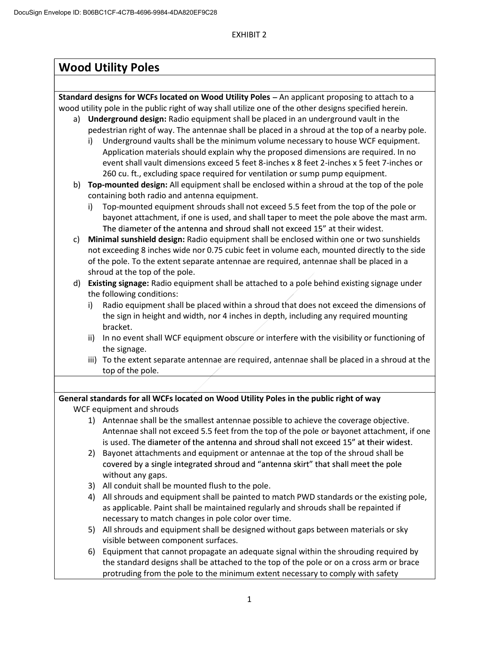# **Wood Utility Poles**

**Standard designs for WCFs located on Wood Utility Poles** - An applicant proposing to attach to a wood utility pole in the public right of way shall utilize one of the other designs specified herein.

- a) **Underground design:** Radio equipment shall be placed in an underground vault in the pedestrian right of way. The antennae shall be placed in a shroud at the top of a nearby pole.
	- i) Underground vaults shall be the minimum volume necessary to house WCF equipment. Application materials should explain why the proposed dimensions are required. In no event shall vault dimensions exceed 5 feet 8-inches x 8 feet 2-inches x 5 feet 7-inches or 260 cu. ft., excluding space required for ventilation or sump pump equipment.
- b) **Top-mounted design:** All equipment shall be enclosed within a shroud at the top of the pole containing both radio and antenna equipment.
	- i) Top-mounted equipment shrouds shall not exceed 5.5 feet from the top of the pole or bayonet attachment, if one is used, and shall taper to meet the pole above the mast arm. The diameter of the antenna and shroud shall not exceed 15" at their widest.
- c) **Minimal sunshield design:** Radio equipment shall be enclosed within one or two sunshields not exceeding 8 inches wide nor 0.75 cubic feet in volume each, mounted directly to the side of the pole. To the extent separate antennae are required, antennae shall be placed in a shroud at the top of the pole.
- d) **Existing signage:** Radio equipment shall be attached to a pole behind existing signage under the following conditions:
	- i) Radio equipment shall be placed within a shroud that does not exceed the dimensions of the sign in height and width, nor 4 inches in depth, including any required mounting bracket.
	- ii) In no event shall WCF equipment obscure or interfere with the visibility or functioning of the signage.
	- iii) To the extent separate antennae are required, antennae shall be placed in a shroud at the top of the pole.

# **General standards for all WCFs located on Wood Utility Poles in the public right of way**

WCF equipment and shrouds

- 1) Antennae shall be the smallest antennae possible to achieve the coverage objective. Antennae shall not exceed 5.5 feet from the top of the pole or bayonet attachment, if one is used. The diameter of the antenna and shroud shall not exceed 15" at their widest.
- 2) Bayonet attachments and equipment or antennae at the top of the shroud shall be covered by a single integrated shroud and "antenna skirt" that shall meet the pole without any gaps.
- 3) All conduit shall be mounted flush to the pole.
- 4) All shrouds and equipment shall be painted to match PWD standards or the existing pole, as applicable. Paint shall be maintained regularly and shrouds shall be repainted if necessary to match changes in pole color over time.
- 5) All shrouds and equipment shall be designed without gaps between materials or sky visible between component surfaces.
- 6) Equipment that cannot propagate an adequate signal within the shrouding required by the standard designs shall be attached to the top of the pole or on a cross arm or brace protruding from the pole to the minimum extent necessary to comply with safety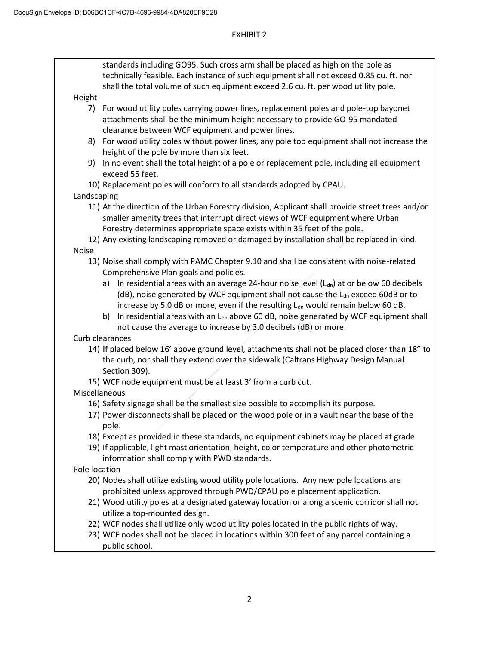# EXHIBIT 2

|               | standards including GO95. Such cross arm shall be placed as high on the pole as<br>technically feasible. Each instance of such equipment shall not exceed 0.85 cu. ft. nor                                                                                     |
|---------------|----------------------------------------------------------------------------------------------------------------------------------------------------------------------------------------------------------------------------------------------------------------|
|               | shall the total volume of such equipment exceed 2.6 cu. ft. per wood utility pole.                                                                                                                                                                             |
| Height        |                                                                                                                                                                                                                                                                |
| 7)            | For wood utility poles carrying power lines, replacement poles and pole-top bayonet<br>attachments shall be the minimum height necessary to provide GO-95 mandated                                                                                             |
|               | clearance between WCF equipment and power lines.                                                                                                                                                                                                               |
| 8)            | For wood utility poles without power lines, any pole top equipment shall not increase the                                                                                                                                                                      |
|               | height of the pole by more than six feet.                                                                                                                                                                                                                      |
| 9)            | In no event shall the total height of a pole or replacement pole, including all equipment<br>exceed 55 feet.                                                                                                                                                   |
|               | 10) Replacement poles will conform to all standards adopted by CPAU.                                                                                                                                                                                           |
| Landscaping   |                                                                                                                                                                                                                                                                |
|               | 11) At the direction of the Urban Forestry division, Applicant shall provide street trees and/or<br>smaller amenity trees that interrupt direct views of WCF equipment where Urban<br>Forestry determines appropriate space exists within 35 feet of the pole. |
|               | 12) Any existing landscaping removed or damaged by installation shall be replaced in kind.                                                                                                                                                                     |
| <b>Noise</b>  |                                                                                                                                                                                                                                                                |
|               | 13) Noise shall comply with PAMC Chapter 9.10 and shall be consistent with noise-related                                                                                                                                                                       |
|               | Comprehensive Plan goals and policies.                                                                                                                                                                                                                         |
|               | a) In residential areas with an average 24-hour noise level $(L_{dn})$ at or below 60 decibels                                                                                                                                                                 |
|               | (dB), noise generated by WCF equipment shall not cause the L <sub>dn</sub> exceed 60dB or to                                                                                                                                                                   |
|               | increase by 5.0 dB or more, even if the resulting L <sub>dn</sub> would remain below 60 dB.                                                                                                                                                                    |
|               | In residential areas with an $L_{dn}$ above 60 dB, noise generated by WCF equipment shall<br>b)<br>not cause the average to increase by 3.0 decibels (dB) or more.                                                                                             |
|               | Curb clearances                                                                                                                                                                                                                                                |
|               | 14) If placed below 16' above ground level, attachments shall not be placed closer than 18" to<br>the curb, nor shall they extend over the sidewalk (Caltrans Highway Design Manual<br>Section 309).                                                           |
|               | 15) WCF node equipment must be at least 3' from a curb cut.                                                                                                                                                                                                    |
|               | Miscellaneous                                                                                                                                                                                                                                                  |
|               | 16) Safety signage shall be the smallest size possible to accomplish its purpose.                                                                                                                                                                              |
|               | 17) Power disconnects shall be placed on the wood pole or in a vault near the base of the<br>pole.                                                                                                                                                             |
|               | 18) Except as provided in these standards, no equipment cabinets may be placed at grade.                                                                                                                                                                       |
|               | 19) If applicable, light mast orientation, height, color temperature and other photometric<br>information shall comply with PWD standards.                                                                                                                     |
| Pole location |                                                                                                                                                                                                                                                                |
|               | 20) Nodes shall utilize existing wood utility pole locations. Any new pole locations are                                                                                                                                                                       |
|               | prohibited unless approved through PWD/CPAU pole placement application.                                                                                                                                                                                        |
|               | 21) Wood utility poles at a designated gateway location or along a scenic corridor shall not<br>utilize a top-mounted design.                                                                                                                                  |
|               | 22) WCF nodes shall utilize only wood utility poles located in the public rights of way.                                                                                                                                                                       |
|               | 23) WCF nodes shall not be placed in locations within 300 feet of any parcel containing a<br>public school.                                                                                                                                                    |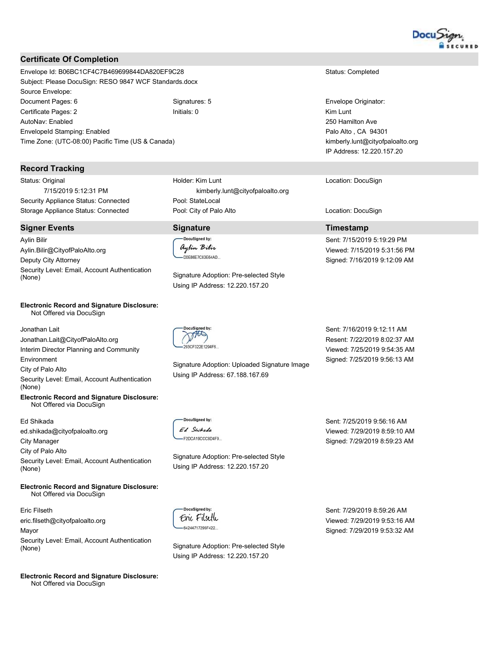

## **Certificate Of Completion**

Envelope Id: B06BC1CF4C7B469699844DA820EF9C28 Subject: Please DocuSign: RESO 9847 WCF Standards.docx Source Envelope: Document Pages: 6 Signatures: 5 Certificate Pages: 2 Initials: 0 AutoNav: Enabled Envelopeld Stamping: Enabled Time Zone: (UTC-08:00) Pacific Time (US & Canada)

#### **Record Tracking**

Status: Original 7/15/2019 5:12:31 PM Security Appliance Status: Connected Storage Appliance Status: Connected

#### **Signer Events**

**Aylin Bilir** Aylin.Bilir@CityofPaloAlto.org Deputy City Attorney Security Level: Email, Account Authentication (None)

#### **Electronic Record and Signature Disclosure:** Not Offered via DocuSign

Jonathan Lait Jonathan.Lait@CityofPaloAlto.org Interim Director Planning and Community Environment City of Palo Alto Security Level: Email, Account Authentication (None) **Electronic Record and Signature Disclosure:** 

Not Offered via DocuSign

#### Ed Shikada

ed.shikada@cityofpaloalto.org **City Manager** City of Palo Alto Security Level: Email, Account Authentication (None)

#### **Electronic Record and Signature Disclosure:** Not Offered via DocuSign

Eric Filseth eric.filseth@cityofpaloalto.org Mayor Security Level: Email, Account Authentication (None)

**Electronic Record and Signature Disclosure:** Not Offered via DocuSign

Holder: Kim Lunt kimberly.lunt@cityofpaloalto.org Pool: StateLocal Pool: City of Palo Alto

## **Signature**

DocuSigned by: aylin Bilir -D0E86E7C83E64AD...

Signature Adoption: Pre-selected Style Using IP Address: 12.220.157.20

# THE

Signature Adoption: Uploaded Signature Image Using IP Address: 67.188.167.69

Sent: 7/16/2019 9:12:11 AM Resent: 7/22/2019 8:02:37 AM Viewed: 7/25/2019 9:54:35 AM Signed: 7/25/2019 9:56:13 AM

Sent: 7/25/2019 9:56:16 AM

Viewed: 7/29/2019 8:59:10 AM

Signed: 7/29/2019 8:59:23 AM

DocuSigned by: Ed Swikada -F2DCA19CCC8D4F9

DocuSianed by:

Enc Filseth

-64244717295F422...

Signature Adoption: Pre-selected Style Using IP Address: 12.220.157.20

Signature Adoption: Pre-selected Style

Using IP Address: 12.220.157.20

Sent: 7/29/2019 8:59:26 AM Viewed: 7/29/2019 9:53:16 AM Signed: 7/29/2019 9:53:32 AM

Status: Completed

Envelope Originator: Kim Lunt 250 Hamilton Ave Palo Alto, CA 94301 kimberly.lunt@cityofpaloalto.org IP Address: 12.220.157.20

Location: DocuSign

Location: DocuSign

## **Timestamp**

Sent: 7/15/2019 5:19:29 PM Viewed: 7/15/2019 5:31:56 PM Signed: 7/16/2019 9:12:09 AM